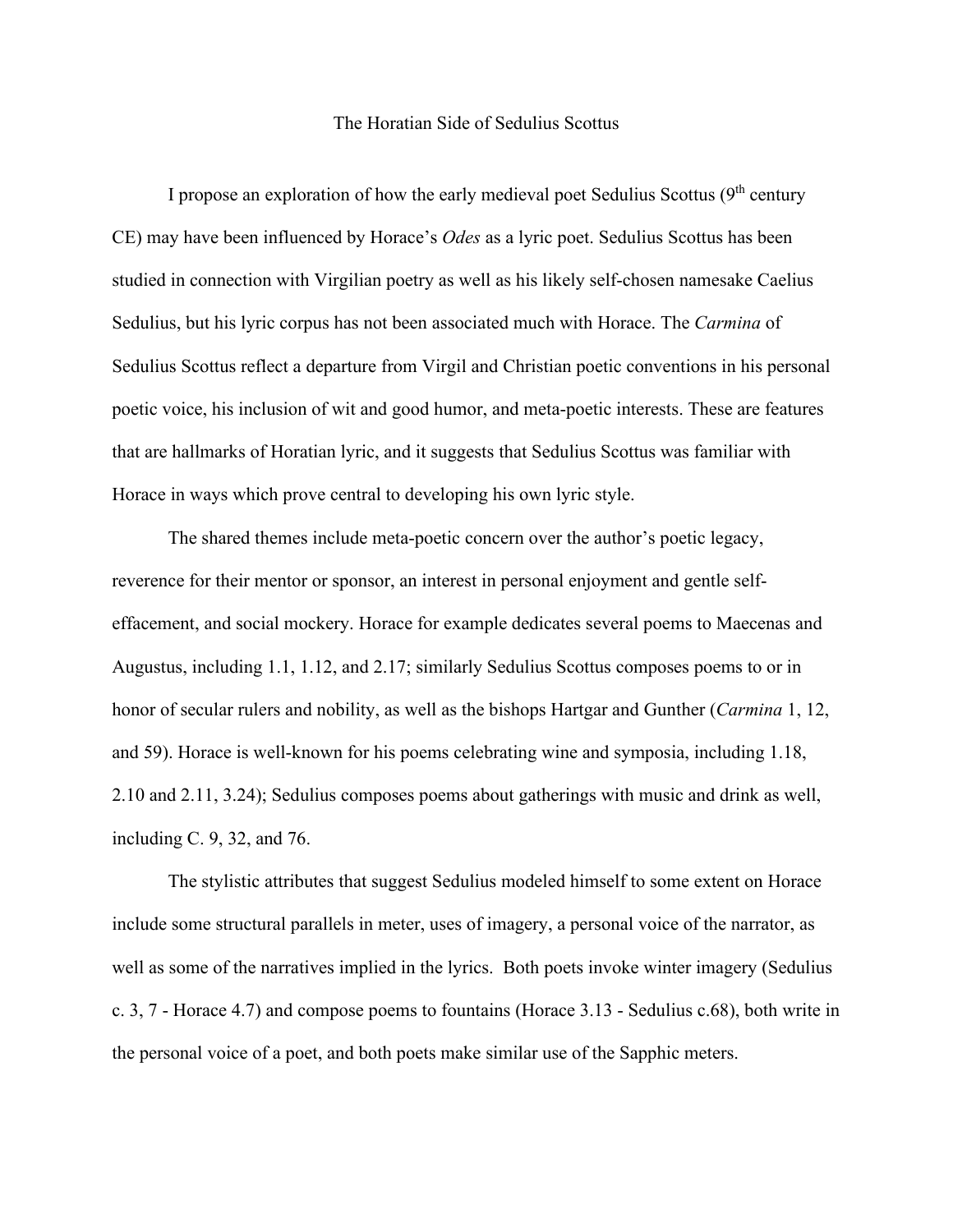## The Horatian Side of Sedulius Scottus

I propose an exploration of how the early medieval poet Sedulius Scottus  $(9<sup>th</sup>$  century CE) may have been influenced by Horace's *Odes* as a lyric poet. Sedulius Scottus has been studied in connection with Virgilian poetry as well as his likely self-chosen namesake Caelius Sedulius, but his lyric corpus has not been associated much with Horace. The *Carmina* of Sedulius Scottus reflect a departure from Virgil and Christian poetic conventions in his personal poetic voice, his inclusion of wit and good humor, and meta-poetic interests. These are features that are hallmarks of Horatian lyric, and it suggests that Sedulius Scottus was familiar with Horace in ways which prove central to developing his own lyric style.

The shared themes include meta-poetic concern over the author's poetic legacy, reverence for their mentor or sponsor, an interest in personal enjoyment and gentle selfeffacement, and social mockery. Horace for example dedicates several poems to Maecenas and Augustus, including 1.1, 1.12, and 2.17; similarly Sedulius Scottus composes poems to or in honor of secular rulers and nobility, as well as the bishops Hartgar and Gunther (*Carmina* 1, 12, and 59). Horace is well-known for his poems celebrating wine and symposia, including 1.18, 2.10 and 2.11, 3.24); Sedulius composes poems about gatherings with music and drink as well, including C. 9, 32, and 76.

The stylistic attributes that suggest Sedulius modeled himself to some extent on Horace include some structural parallels in meter, uses of imagery, a personal voice of the narrator, as well as some of the narratives implied in the lyrics. Both poets invoke winter imagery (Sedulius c. 3, 7 - Horace 4.7) and compose poems to fountains (Horace 3.13 - Sedulius c.68), both write in the personal voice of a poet, and both poets make similar use of the Sapphic meters.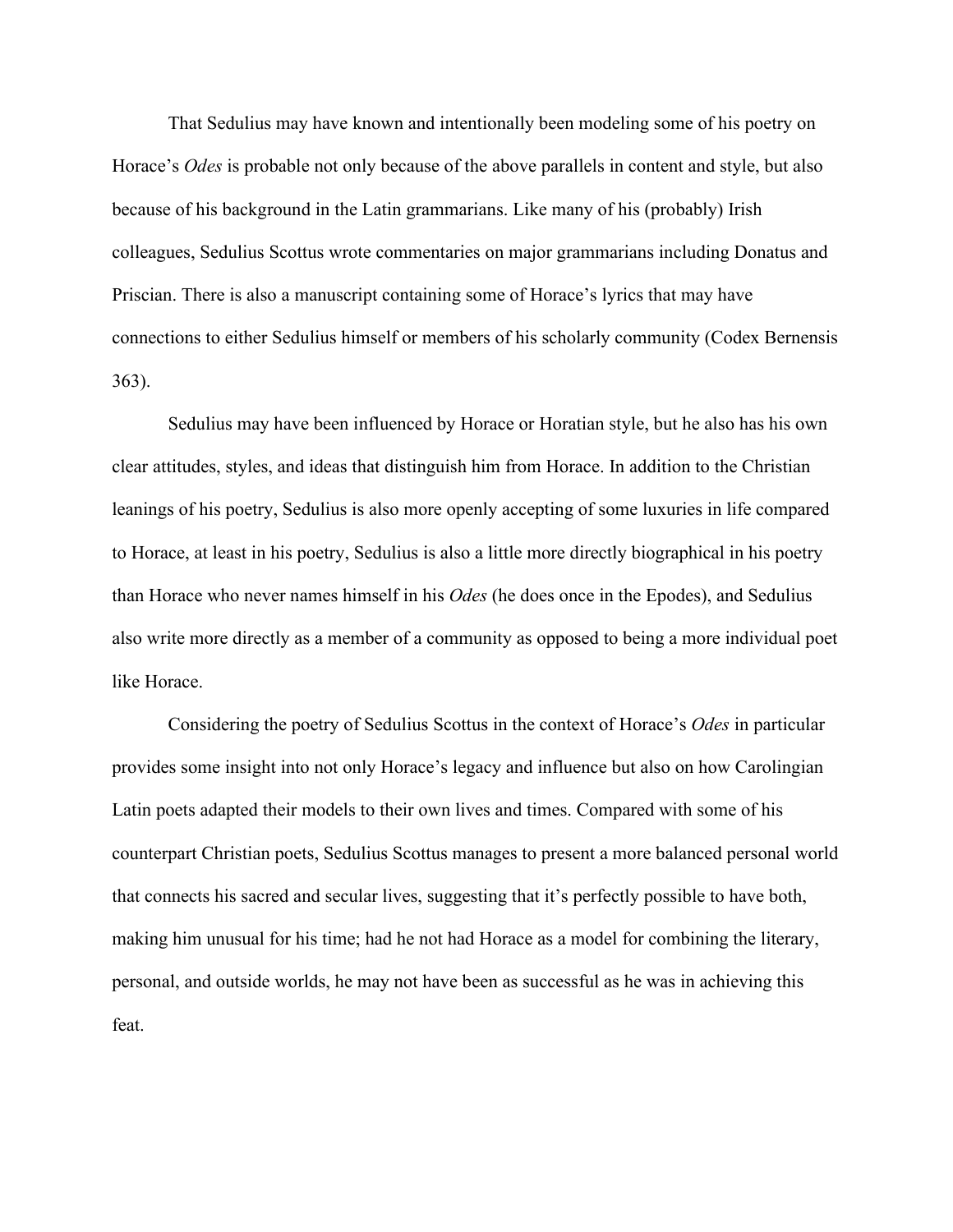That Sedulius may have known and intentionally been modeling some of his poetry on Horace's *Odes* is probable not only because of the above parallels in content and style, but also because of his background in the Latin grammarians. Like many of his (probably) Irish colleagues, Sedulius Scottus wrote commentaries on major grammarians including Donatus and Priscian. There is also a manuscript containing some of Horace's lyrics that may have connections to either Sedulius himself or members of his scholarly community (Codex Bernensis 363).

Sedulius may have been influenced by Horace or Horatian style, but he also has his own clear attitudes, styles, and ideas that distinguish him from Horace. In addition to the Christian leanings of his poetry, Sedulius is also more openly accepting of some luxuries in life compared to Horace, at least in his poetry, Sedulius is also a little more directly biographical in his poetry than Horace who never names himself in his *Odes* (he does once in the Epodes), and Sedulius also write more directly as a member of a community as opposed to being a more individual poet like Horace.

Considering the poetry of Sedulius Scottus in the context of Horace's *Odes* in particular provides some insight into not only Horace's legacy and influence but also on how Carolingian Latin poets adapted their models to their own lives and times. Compared with some of his counterpart Christian poets, Sedulius Scottus manages to present a more balanced personal world that connects his sacred and secular lives, suggesting that it's perfectly possible to have both, making him unusual for his time; had he not had Horace as a model for combining the literary, personal, and outside worlds, he may not have been as successful as he was in achieving this feat.